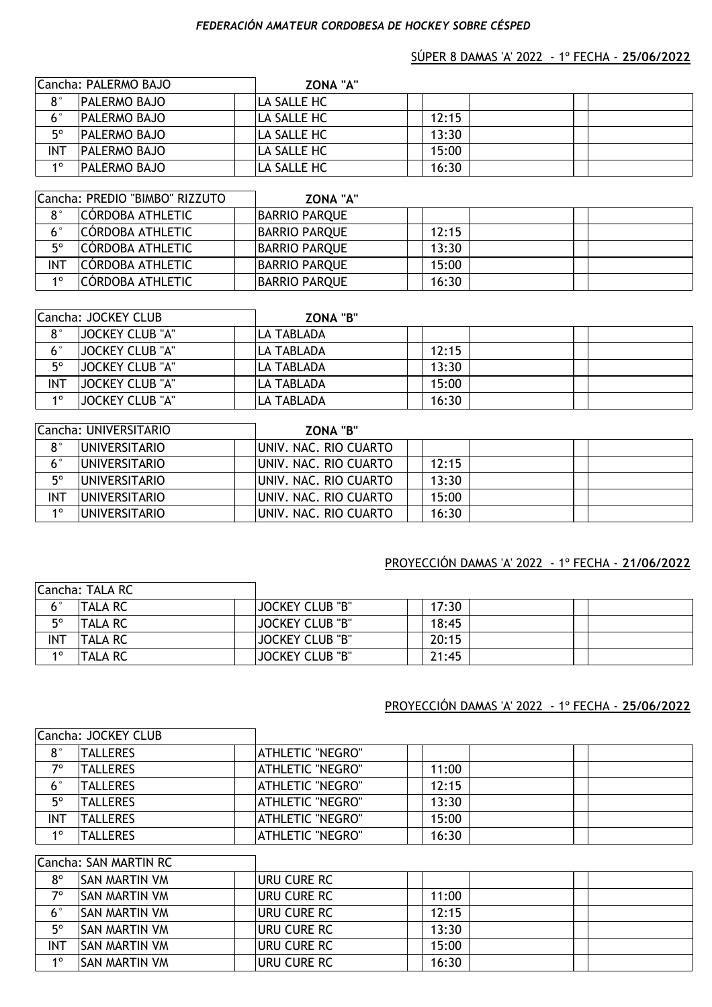#### *FEDERACIÓN AMATEUR CORDOBESA DE HOCKEY SOBRE CÉSPED*

#### SÚPER 8 DAMAS 'A' 2022 - 1º FECHA - **25/06/2022**

|             | Cancha: PALERMO BAJO | <b>ZONA "A"</b> |       |  |  |
|-------------|----------------------|-----------------|-------|--|--|
| $8^{\circ}$ | <b>PALERMO BAJO</b>  | LA SALLE HC     |       |  |  |
| $6^{\circ}$ | <b>PALERMO BAJO</b>  | ILA SALLE HC    | 12:15 |  |  |
| $5^{\circ}$ | <b>PALERMO BAJO</b>  | ILA SALLE HC    | 13:30 |  |  |
| <b>INT</b>  | <b>PALERMO BAJO</b>  | LA SALLE HC     | 15:00 |  |  |
| 10          | <b>PALERMO BAJO</b>  | LA SALLE HC     | 16:30 |  |  |

|             | Cancha: PREDIO "BIMBO" RIZZUTO | <b>ZONA "A"</b>      |       |  |
|-------------|--------------------------------|----------------------|-------|--|
| $8^{\circ}$ | <b>CÓRDOBA ATHLETIC</b>        | <b>BARRIO PARQUE</b> |       |  |
| $6^{\circ}$ | <b>CÓRDOBA ATHLETIC</b>        | <b>BARRIO PARQUE</b> | 12:15 |  |
| 50          | <b>CÓRDOBA ATHLETIC</b>        | <b>BARRIO PARQUE</b> | 13:30 |  |
| <b>INT</b>  | CÓRDOBA ATHLETIC               | <b>BARRIO PARQUE</b> | 15:00 |  |
| 10          | <b>CÓRDOBA ATHLETIC</b>        | <b>BARRIO PARQUE</b> | 16:30 |  |

|             | Cancha: JOCKEY CLUB    | <b>ZONA "B"</b>   |       |  |  |
|-------------|------------------------|-------------------|-------|--|--|
| $8^{\circ}$ | <b>JOCKEY CLUB "A"</b> | ILA TABLADA       |       |  |  |
| 6°          | <b>JOCKEY CLUB "A"</b> | ILA TABLADA       | 12:15 |  |  |
| 50          | JOCKEY CLUB "A"        | <b>LA TABLADA</b> | 13:30 |  |  |
| <b>INT</b>  | <b>JOCKEY CLUB "A"</b> | ILA TABLADA       | 15:00 |  |  |
| 10          | <b>JOCKEY CLUB "A"</b> | ILA TABLADA       | 16:30 |  |  |

|             | Cancha: UNIVERSITARIO | <b>ZONA "B"</b>        |       |  |
|-------------|-----------------------|------------------------|-------|--|
| $8^{\circ}$ | <b>IUNIVERSITARIO</b> | UNIV. NAC. RIO CUARTO  |       |  |
| 6°          | IUNIVERSITARIO        | IUNIV. NAC. RIO CUARTO | 12:15 |  |
| 50          | IUNIVERSITARIO        | IUNIV. NAC. RIO CUARTO | 13:30 |  |
| <b>INT</b>  | IUNIVERSITARIO        | IUNIV. NAC. RIO CUARTO | 15:00 |  |
| 10          | IUNIVERSITARIO        | IUNIV. NAC. RIO CUARTO | 16:30 |  |

### PROYECCIÓN DAMAS 'A' 2022 - 1º FECHA - **21/06/2022**

|              | Cancha: TALA RC |                        |       |  |
|--------------|-----------------|------------------------|-------|--|
| $\mathbf{r}$ | <b>TALA RC</b>  | <b>JOCKEY CLUB "B"</b> | 17:30 |  |
| 50           | <b>TALA RC</b>  | <b>JOCKEY CLUB "B"</b> | 18:45 |  |
| <b>INT</b>   | <b>TALA RC</b>  | <b>JOCKEY CLUB "B"</b> | 20:15 |  |
| 10           | <b>TALA RC</b>  | <b>JOCKEY CLUB "B"</b> | 21:45 |  |

#### PROYECCIÓN DAMAS 'A' 2022 - 1º FECHA - **25/06/2022**

|             | Cancha: JOCKEY CLUB |                         |       |  |
|-------------|---------------------|-------------------------|-------|--|
| $8^{\circ}$ | <b>TALLERES</b>     | <b>ATHLETIC "NEGRO"</b> |       |  |
| 70          | TALLERES            | <b>ATHLETIC "NEGRO"</b> | 11:00 |  |
| $6^{\circ}$ | <b>TALLERES</b>     | <b>ATHLETIC "NEGRO"</b> | 12:15 |  |
| $5^{\circ}$ | <b>TALLERES</b>     | <b>ATHLETIC "NEGRO"</b> | 13:30 |  |
| <b>INT</b>  | <b>TALLERES</b>     | <b>ATHLETIC "NEGRO"</b> | 15:00 |  |
| 10          | <b>TALLERES</b>     | <b>ATHLETIC "NEGRO"</b> | 16:30 |  |

# 8<sup>°</sup> SAN MARTIN VM URU CURE RC 7<sup>o</sup> SAN MARTIN VM **URU CURE RC** 11:00 6° SAN MARTIN VM **URU CURE RC** 12:15 5<sup>°</sup> SAN MARTIN VM **URU CURE RC** 13:30 INT SAN MARTIN VM **URU CURE RC** 15:00 1<sup>o</sup> SAN MARTIN VM **URU CURE RC** 16:30 Cancha: SAN MARTIN RC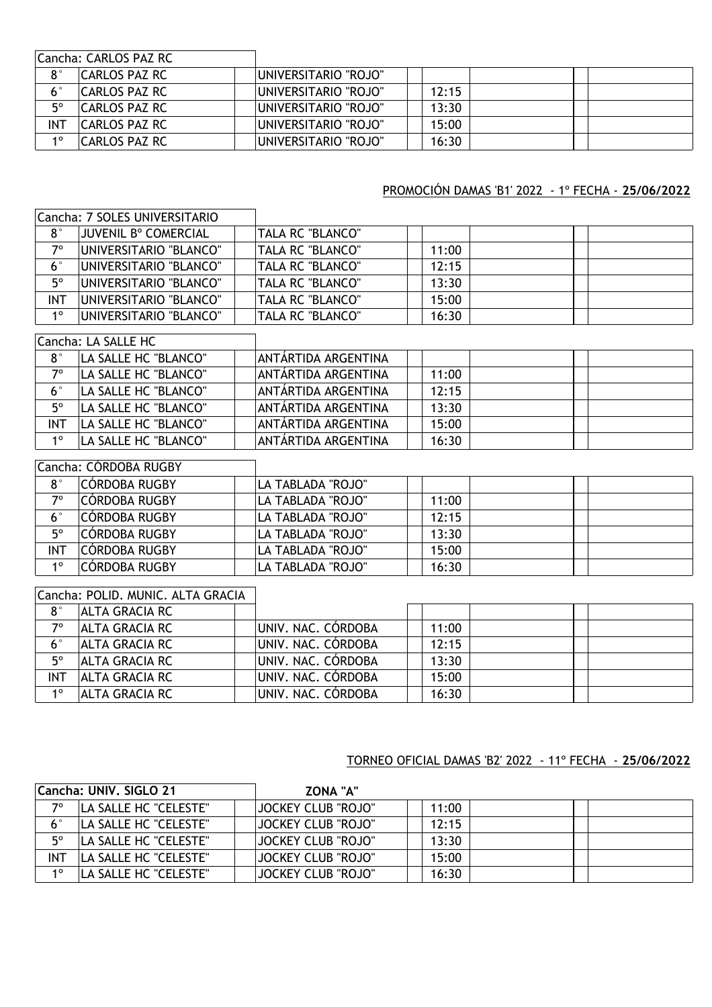|             | Cancha: CARLOS PAZ RC |                              |       |  |
|-------------|-----------------------|------------------------------|-------|--|
| $8^{\circ}$ | ICARLOS PAZ RC        | UNIVERSITARIO "ROJO"         |       |  |
|             | ICARLOS PAZ RC        | IUNIVERSITARIO "ROJO"        | 12:15 |  |
| 50          | ICARLOS PAZ RC        | <b>IUNIVERSITARIO "ROJO"</b> | 13:30 |  |
| INT         | ICARLOS PAZ RC        | IUNIVERSITARIO "ROJO"        | 15:00 |  |
| 10          | CARLOS PAZ RC         | IUNIVERSITARIO "ROJO"        | 16:30 |  |

# PROMOCIÓN DAMAS 'B1' 2022 - 1º FECHA - **25/06/2022**

|             | Cancha: 7 SOLES UNIVERSITARIO     |                     |       |  |
|-------------|-----------------------------------|---------------------|-------|--|
| $8^{\circ}$ | <b>JUVENIL B° COMERCIAL</b>       | TALA RC "BLANCO"    |       |  |
| $7^\circ$   | UNIVERSITARIO "BLANCO"            | TALA RC "BLANCO"    | 11:00 |  |
| $6^{\circ}$ | UNIVERSITARIO "BLANCO"            | TALA RC "BLANCO"    | 12:15 |  |
| $5^\circ$   | UNIVERSITARIO "BLANCO"            | TALA RC "BLANCO"    | 13:30 |  |
| <b>INT</b>  | UNIVERSITARIO "BLANCO"            | TALA RC "BLANCO"    | 15:00 |  |
| $1^{\circ}$ | UNIVERSITARIO "BLANCO"            | TALA RC "BLANCO"    | 16:30 |  |
|             | Cancha: LA SALLE HC               |                     |       |  |
| $8^{\circ}$ | LA SALLE HC "BLANCO"              | ANTÁRTIDA ARGENTINA |       |  |
| $7^\circ$   | LA SALLE HC "BLANCO"              | ANTÁRTIDA ARGENTINA | 11:00 |  |
| $6^{\circ}$ | LA SALLE HC "BLANCO"              | ANTÁRTIDA ARGENTINA | 12:15 |  |
| $5^\circ$   | LA SALLE HC "BLANCO"              | ANTÁRTIDA ARGENTINA | 13:30 |  |
| <b>INT</b>  | LA SALLE HC "BLANCO"              | ANTÁRTIDA ARGENTINA | 15:00 |  |
| $1^{\circ}$ | LA SALLE HC "BLANCO"              | ANTÁRTIDA ARGENTINA | 16:30 |  |
|             | Cancha: CÓRDOBA RUGBY             |                     |       |  |
| $8^{\circ}$ | CÓRDOBA RUGBY                     | LA TABLADA "ROJO"   |       |  |
| $7^\circ$   | CÓRDOBA RUGBY                     | LA TABLADA "ROJO"   | 11:00 |  |
| $6^{\circ}$ | CÓRDOBA RUGBY                     | LA TABLADA "ROJO"   | 12:15 |  |
| $5^{\circ}$ | CÓRDOBA RUGBY                     | LA TABLADA "ROJO"   | 13:30 |  |
| <b>INT</b>  | CÓRDOBA RUGBY                     | LA TABLADA "ROJO"   | 15:00 |  |
| $1^{\circ}$ | CÓRDOBA RUGBY                     | LA TABLADA "ROJO"   | 16:30 |  |
|             | Cancha: POLID. MUNIC. ALTA GRACIA |                     |       |  |
| $8^{\circ}$ | <b>ALTA GRACIA RC</b>             |                     |       |  |
| $7^\circ$   | <b>ALTA GRACIA RC</b>             | UNIV. NAC. CÓRDOBA  | 11:00 |  |
|             |                                   |                     |       |  |

|     | TALTA GRACIA RC | IUNIV. NAC. CORDOBA | 11:00 |  |
|-----|-----------------|---------------------|-------|--|
|     | IALTA GRACIA RC | IUNIV. NAC. CÓRDOBA | 12:15 |  |
| ᄗ   | IALTA GRACIA RC | IUNIV. NAC. CÓRDOBA | 13:30 |  |
| INT | IALTA GRACIA RC | UNIV. NAC. CÓRDOBA  | 15:00 |  |
| 10  | IALTA GRACIA RC | UNIV. NAC. CÓRDOBA  | 16:30 |  |

# TORNEO OFICIAL DAMAS 'B2' 2022 - 11º FECHA - **25/06/2022**

| Cancha: UNIV. SIGLO 21 |                              | <b>ZONA "A"</b>           |       |  |
|------------------------|------------------------------|---------------------------|-------|--|
| 70                     | LA SALLE HC "CELESTE"        | <b>JOCKEY CLUB "ROJO"</b> | 11:00 |  |
|                        | LA SALLE HC "CELESTE"        | <b>JOCKEY CLUB "ROJO"</b> | 12:15 |  |
| $5^{\circ}$            | <b>LA SALLE HC "CELESTE"</b> | <b>JOCKEY CLUB "ROJO"</b> | 13:30 |  |
| INT                    | LA SALLE HC "CELESTE"        | <b>JOCKEY CLUB "ROJO"</b> | 15:00 |  |
| 10                     | LA SALLE HC "CELESTE"        | <b>JOCKEY CLUB "ROJO"</b> | 16:30 |  |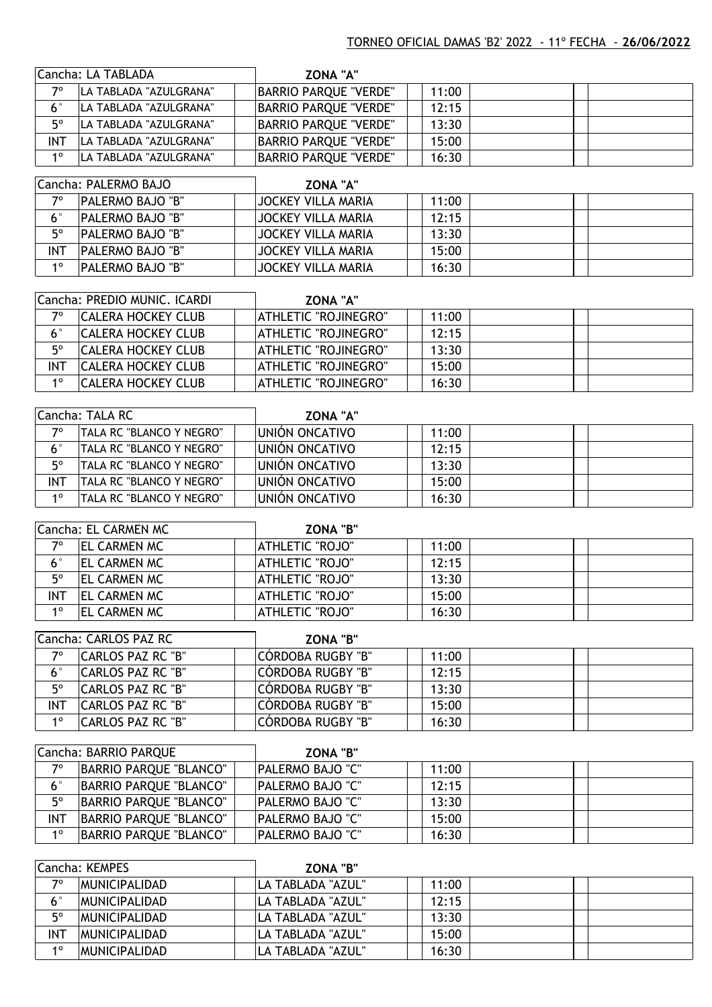|             | Cancha: LA TABLADA      | <b>ZONA "A"</b>              |       |  |
|-------------|-------------------------|------------------------------|-------|--|
| 70          | ILA TABLADA "AZULGRANA" | <b>BARRIO PARQUE "VERDE"</b> | 11:00 |  |
| $6^{\circ}$ | ILA TABLADA "AZULGRANA" | <b>BARRIO PARQUE "VERDE"</b> | 12:15 |  |
| 50          | ILA TABLADA "AZULGRANA" | BARRIO PARQUE "VERDE"        | 13:30 |  |
| INT         | LA TABLADA "AZULGRANA"  | <b>BARRIO PARQUE "VERDE"</b> | 15:00 |  |
| 10          | LA TABLADA "AZULGRANA"  | <b>BARRIO PARQUE "VERDE"</b> | 16:30 |  |

|             | Cancha: PALERMO BAJO    | <b>ZONA "A"</b>    |       |  |  |
|-------------|-------------------------|--------------------|-------|--|--|
| 70          | <b>PALERMO BAJO "B"</b> | JOCKEY VILLA MARIA | 11:00 |  |  |
| $6^{\circ}$ | <b>PALERMO BAJO "B"</b> | JOCKEY VILLA MARIA | 12:15 |  |  |
| $5^{\circ}$ | <b>PALERMO BAJO "B"</b> | JOCKEY VILLA MARIA | 13:30 |  |  |
| <b>INT</b>  | <b>PALERMO BAJO "B"</b> | JOCKEY VILLA MARIA | 15:00 |  |  |
| 10          | <b>PALERMO BAJO "B"</b> | JOCKEY VILLA MARIA | 16:30 |  |  |

|             | Cancha: PREDIO MUNIC. ICARDI | <b>ZONA "A"</b>      |       |  |
|-------------|------------------------------|----------------------|-------|--|
| 70          | <b>CALERA HOCKEY CLUB</b>    | ATHLETIC "ROJINEGRO" | 11:00 |  |
| $6^{\circ}$ | <b>CALERA HOCKEY CLUB</b>    | ATHLETIC "ROJINEGRO" | 12:15 |  |
| 50          | <b>CALERA HOCKEY CLUB</b>    | ATHLETIC "ROJINEGRO" | 13:30 |  |
| <b>INT</b>  | <b>CALERA HOCKEY CLUB</b>    | ATHLETIC "ROJINEGRO" | 15:00 |  |
| 10          | <b>CALERA HOCKEY CLUB</b>    | ATHLETIC "ROJINEGRO" | 16:30 |  |

|                | Cancha: TALA RC           | <b>ZONA "A"</b> |       |  |
|----------------|---------------------------|-----------------|-------|--|
| 70             | TALA RC "BLANCO Y NEGRO"  | UNION ONCATIVO  | 11:00 |  |
| $6^{\circ}$    | ITALA RC "BLANCO Y NEGRO" | UNIÓN ONCATIVO  | 12:15 |  |
| 50             | ITALA RC "BLANCO Y NEGRO" | UNIÓN ONCATIVO  | 13:30 |  |
| INT            | TALA RC "BLANCO Y NEGRO"  | UNIÓN ONCATIVO  | 15:00 |  |
| 1 <sup>0</sup> | ITALA RC "BLANCO Y NEGRO" | UNIÓN ONCATIVO  | 16:30 |  |

|     | Cancha: EL CARMEN MC | <b>ZONA "B"</b>        |       |  |
|-----|----------------------|------------------------|-------|--|
| 70  | <b>EL CARMEN MC</b>  | ATHLETIC "ROJO"        | 11:00 |  |
|     | <b>IEL CARMEN MC</b> | ATHLETIC "ROJO"        | 12:15 |  |
| 50  | <b>EL CARMEN MC</b>  | ATHLETIC "ROJO"        | 13:30 |  |
| INT | <b>IEL CARMEN MC</b> | ATHLETIC "ROJO"        | 15:00 |  |
| 10  | <b>EL CARMEN MC</b>  | <b>ATHLETIC "ROJO"</b> | 16:30 |  |

|     | Cancha: CARLOS PAZ RC | <b>ZONA "B"</b>   |       |  |
|-----|-----------------------|-------------------|-------|--|
| 70  | CARLOS PAZ RC "B"     | CÓRDOBA RUGBY "B" | 11:00 |  |
|     | CARLOS PAZ RC "B"     | CÓRDOBA RUGBY "B" | 12:15 |  |
| 50  | CARLOS PAZ RC "B"     | CÓRDOBA RUGBY "B" | 13:30 |  |
| INT | CARLOS PAZ RC "B"     | CÓRDOBA RUGBY "B" | 15:00 |  |
| 10  | CARLOS PAZ RC "B"     | CÓRDOBA RUGBY "B" | 16:30 |  |

|             | Cancha: BARRIO PAROUE  | <b>ZONA "B"</b>         |       |  |
|-------------|------------------------|-------------------------|-------|--|
| 70          | BARRIO PARQUE "BLANCO" | <b>PALERMO BAJO "C"</b> | 11:00 |  |
| $6^{\circ}$ | BARRIO PARQUE "BLANCO" | <b>PALERMO BAJO "C"</b> | 12:15 |  |
| $5^{\circ}$ | BARRIO PARQUE "BLANCO" | <b>PALERMO BAJO "C"</b> | 13:30 |  |
| <b>INT</b>  | BARRIO PARQUE "BLANCO" | <b>PALERMO BAJO "C"</b> | 15:00 |  |
| 10          | BARRIO PARQUE "BLANCO" | <b>PALERMO BAJO "C"</b> | 16:30 |  |

|             | Cancha: KEMPES        | <b>ZONA "B"</b>    |       |  |
|-------------|-----------------------|--------------------|-------|--|
| 70          | <b>MUNICIPALIDAD</b>  | ILA TABLADA "AZUL" | 11:00 |  |
| $6^{\circ}$ | <b>IMUNICIPALIDAD</b> | LA TABLADA "AZUL"  | 12:15 |  |
| 50          | <b>IMUNICIPALIDAD</b> | LA TABLADA "AZUL"  | 13:30 |  |
| <b>INT</b>  | <b>IMUNICIPALIDAD</b> | LA TABLADA "AZUL"  | 15:00 |  |
| 10          | <b>IMUNICIPALIDAD</b> | LA TABLADA "AZUL"  | 16:30 |  |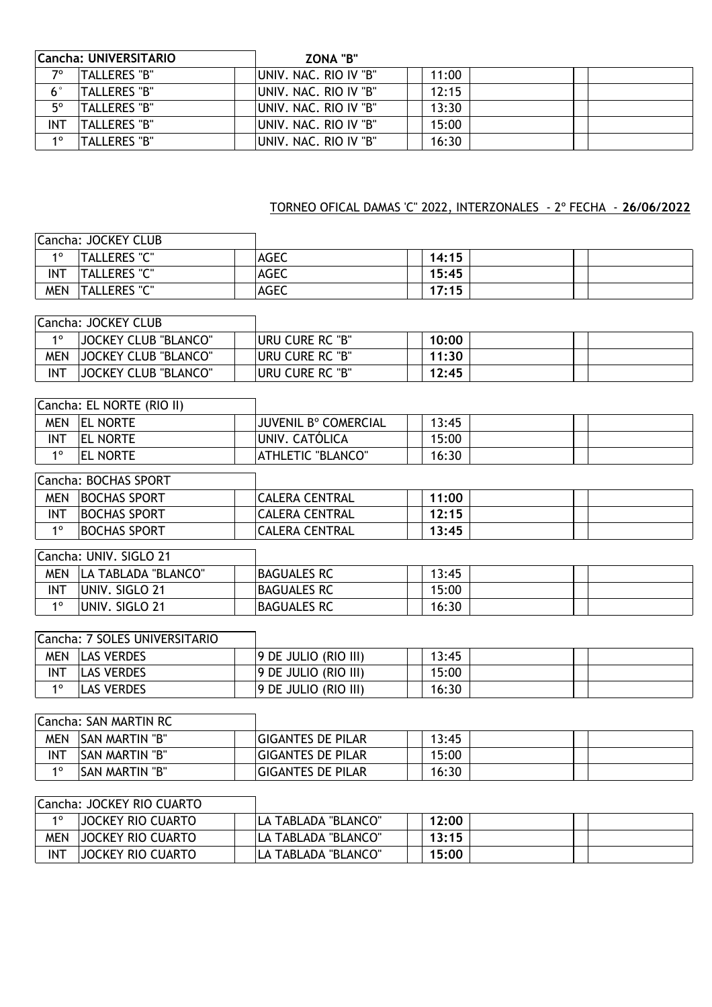|             | Cancha: UNIVERSITARIO | <b>ZONA "B"</b>        |       |  |
|-------------|-----------------------|------------------------|-------|--|
| 70          | TALLERES "B"          | IUNIV. NAC. RIO IV "B" | 11:00 |  |
| $6^{\circ}$ | 'TALLERES "B"         | IUNIV. NAC. RIO IV "B" | 12:15 |  |
| $5^{\circ}$ | TALLERES "B"          | UNIV. NAC. RIO IV "B"  | 13:30 |  |
| INT         | TALLERES "B"          | UNIV. NAC. RIO IV "B"  | 15:00 |  |
| 10          | TALLERES "B"          | UNIV. NAC. RIO IV "B"  | 16:30 |  |

# TORNEO OFICAL DAMAS 'C" 2022, INTERZONALES - 2º FECHA - **26/06/2022**

|            | Cancha: JOCKEY CLUB |             |       |  |
|------------|---------------------|-------------|-------|--|
| 10         | <b>TALLERES "C"</b> | AGEC        | 14:15 |  |
| <b>INT</b> | <b>TALLERES "C"</b> | <b>AGEC</b> | 15:45 |  |
| MEN        | <b>TALLERES "C"</b> | <b>AGEC</b> | 17:15 |  |

|            | Cancha: JOCKEY CLUB         |                 |       |  |
|------------|-----------------------------|-----------------|-------|--|
| 10         | <b>JOCKEY CLUB "BLANCO"</b> | Uru cure RC "B" | 10:00 |  |
| MEN        | <b>JOCKEY CLUB "BLANCO"</b> | uru cure RC "B" | 11:30 |  |
| <b>INT</b> | <b>JOCKEY CLUB "BLANCO"</b> | uru cure RC "B" | 12:45 |  |

|             | Cancha: EL NORTE (RIO II) |                             |       |  |
|-------------|---------------------------|-----------------------------|-------|--|
| <b>MEN</b>  | <b>EL NORTE</b>           | <b>JUVENIL B° COMERCIAL</b> | 13:45 |  |
| <b>INT</b>  | <b>EL NORTE</b>           | UNIV. CATÓLICA              | 15:00 |  |
| $1^{\circ}$ | <b>EL NORTE</b>           | <b>ATHLETIC "BLANCO"</b>    | 16:30 |  |
|             | Cancha: BOCHAS SPORT      |                             |       |  |
| <b>MEN</b>  | <b>BOCHAS SPORT</b>       | <b>CALERA CENTRAL</b>       | 11:00 |  |
| <b>INT</b>  | <b>BOCHAS SPORT</b>       | <b>CALERA CENTRAL</b>       | 12:15 |  |
| $1^{\circ}$ | <b>BOCHAS SPORT</b>       | <b>CALERA CENTRAL</b>       | 13:45 |  |
|             |                           |                             |       |  |

|            | Cancha: UNIV. SIGLO 21 |                    |       |  |  |
|------------|------------------------|--------------------|-------|--|--|
| <b>MEN</b> | LA TABLADA "BLANCO"    | <b>BAGUALES RC</b> | 13:45 |  |  |
| <b>INT</b> | UNIV. SIGLO 21         | <b>BAGUALES RC</b> | 15:00 |  |  |
| 10         | UNIV. SIGLO 21         | <b>BAGUALES RC</b> | 16:30 |  |  |

| Cancha: 7 SOLES UNIVERSITARIO |
|-------------------------------|
|-------------------------------|

1

٦

| <b>MEN</b> | <b>LAS VERDES</b> | 9 DE JULIO (RIO III) | 13:45 |  |  |
|------------|-------------------|----------------------|-------|--|--|
| <b>INT</b> | <b>LAS VERDES</b> | 9 DE JULIO (RIO III) | 15:00 |  |  |
| 40         | <b>LAS VERDES</b> | 9 DE JULIO (RIO III) | 16:30 |  |  |

|            | Cancha: SAN MARTIN RC |                          |       |  |  |
|------------|-----------------------|--------------------------|-------|--|--|
| MEN        | <b>SAN MARTIN "B"</b> | <b>GIGANTES DE PILAR</b> | 13:45 |  |  |
| <b>INT</b> | <b>SAN MARTIN "B"</b> | <b>GIGANTES DE PILAR</b> | 15:00 |  |  |
| 10         | <b>SAN MARTIN "B"</b> | <b>GIGANTES DE PILAR</b> | 16:30 |  |  |

# Cancha: JOCKEY RIO CUARTO

| <b>40</b> | <b>JOCKEY RIO CUARTO</b> | LA TABLADA "BLANCO" | 12:00 |  |
|-----------|--------------------------|---------------------|-------|--|
| MEN       | JOCKEY RIO CUARTO        | LA TABLADA "BLANCO" | 13:15 |  |
| INT       | <b>JOCKEY RIO CUARTO</b> | LA TABLADA "BLANCO" | 15:00 |  |